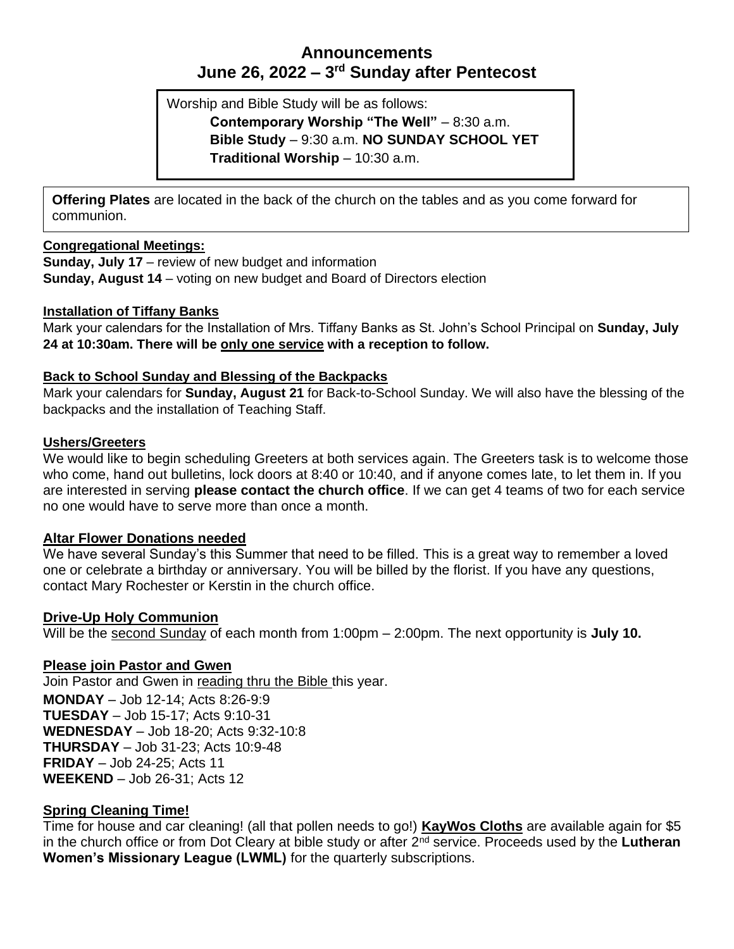# **Announcements June 26, 2022 – 3 rd Sunday after Pentecost**

Worship and Bible Study will be as follows: **Contemporary Worship "The Well"** – 8:30 a.m. **Bible Study** – 9:30 a.m. **NO SUNDAY SCHOOL YET Traditional Worship** – 10:30 a.m.

**Offering Plates** are located in the back of the church on the tables and as you come forward for communion.

## **Congregational Meetings:**

**Sunday, July 17** – review of new budget and information **Sunday, August 14** – voting on new budget and Board of Directors election

### **Installation of Tiffany Banks**

Mark your calendars for the Installation of Mrs. Tiffany Banks as St. John's School Principal on **Sunday, July 24 at 10:30am. There will be only one service with a reception to follow.**

### **Back to School Sunday and Blessing of the Backpacks**

Mark your calendars for **Sunday, August 21** for Back-to-School Sunday. We will also have the blessing of the backpacks and the installation of Teaching Staff.

### **Ushers/Greeters**

We would like to begin scheduling Greeters at both services again. The Greeters task is to welcome those who come, hand out bulletins, lock doors at 8:40 or 10:40, and if anyone comes late, to let them in. If you are interested in serving **please contact the church office**. If we can get 4 teams of two for each service no one would have to serve more than once a month.

## **Altar Flower Donations needed**

We have several Sunday's this Summer that need to be filled. This is a great way to remember a loved one or celebrate a birthday or anniversary. You will be billed by the florist. If you have any questions, contact Mary Rochester or Kerstin in the church office.

## **Drive-Up Holy Communion**

Will be the second Sunday of each month from 1:00pm – 2:00pm. The next opportunity is **July 10.**

## **Please join Pastor and Gwen**

Join Pastor and Gwen in reading thru the Bible this year.

**MONDAY** – Job 12-14; Acts 8:26-9:9 **TUESDAY** – Job 15-17; Acts 9:10-31 **WEDNESDAY** – Job 18-20; Acts 9:32-10:8 **THURSDAY** – Job 31-23; Acts 10:9-48 **FRIDAY** – Job 24-25; Acts 11 **WEEKEND** – Job 26-31; Acts 12

## **Spring Cleaning Time!**

Time for house and car cleaning! (all that pollen needs to go!) **KayWos Cloths** are available again for \$5 in the church office or from Dot Cleary at bible study or after 2nd service. Proceeds used by the **Lutheran Women's Missionary League (LWML)** for the quarterly subscriptions.